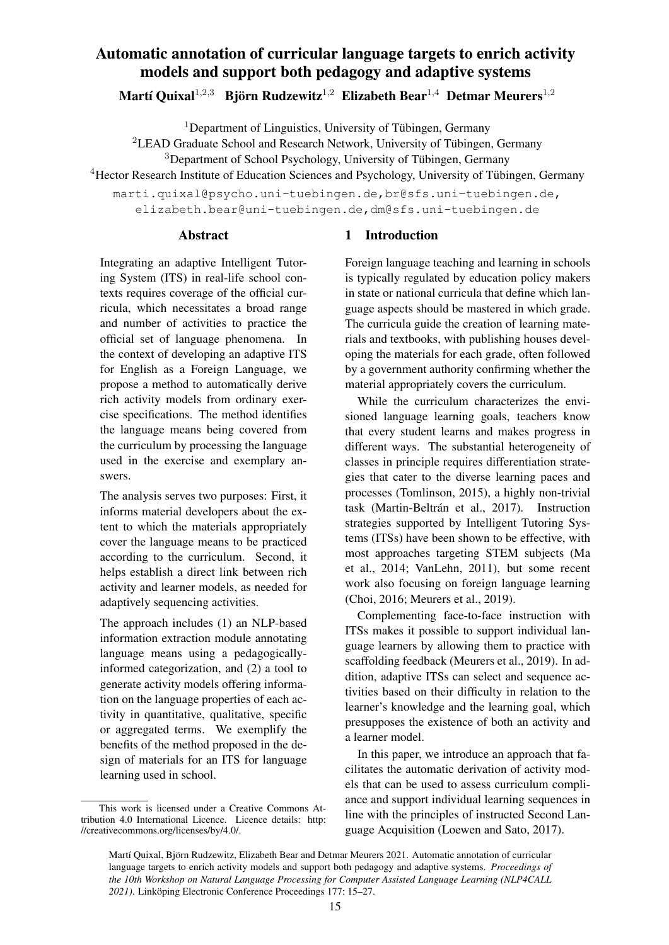# Automatic annotation of curricular language targets to enrich activity models and support both pedagogy and adaptive systems

Martí Quixal $^{1,2,3}$  Björn Rudzewitz $^{1,2}$  Elizabeth Bear $^{1,4}$  Detmar Meurers $^{1,2}$ 

<sup>1</sup>Department of Linguistics, University of Tübingen, Germany

<sup>2</sup>LEAD Graduate School and Research Network, University of Tübingen, Germany

<sup>3</sup>Department of School Psychology, University of Tübingen, Germany

<sup>4</sup>Hector Research Institute of Education Sciences and Psychology, University of Tübingen, Germany

marti.quixal@psycho.uni-tuebingen.de,br@sfs.uni-tuebingen.de, elizabeth.bear@uni-tuebingen.de,dm@sfs.uni-tuebingen.de

#### Abstract

Integrating an adaptive Intelligent Tutoring System (ITS) in real-life school contexts requires coverage of the official curricula, which necessitates a broad range and number of activities to practice the official set of language phenomena. In the context of developing an adaptive ITS for English as a Foreign Language, we propose a method to automatically derive rich activity models from ordinary exercise specifications. The method identifies the language means being covered from the curriculum by processing the language used in the exercise and exemplary answers.

The analysis serves two purposes: First, it informs material developers about the extent to which the materials appropriately cover the language means to be practiced according to the curriculum. Second, it helps establish a direct link between rich activity and learner models, as needed for adaptively sequencing activities.

The approach includes (1) an NLP-based information extraction module annotating language means using a pedagogicallyinformed categorization, and (2) a tool to generate activity models offering information on the language properties of each activity in quantitative, qualitative, specific or aggregated terms. We exemplify the benefits of the method proposed in the design of materials for an ITS for language learning used in school.

# 1 Introduction

Foreign language teaching and learning in schools is typically regulated by education policy makers in state or national curricula that define which language aspects should be mastered in which grade. The curricula guide the creation of learning materials and textbooks, with publishing houses developing the materials for each grade, often followed by a government authority confirming whether the material appropriately covers the curriculum.

While the curriculum characterizes the envisioned language learning goals, teachers know that every student learns and makes progress in different ways. The substantial heterogeneity of classes in principle requires differentiation strategies that cater to the diverse learning paces and processes (Tomlinson, 2015), a highly non-trivial task (Martin-Beltrán et al., 2017). Instruction strategies supported by Intelligent Tutoring Systems (ITSs) have been shown to be effective, with most approaches targeting STEM subjects (Ma et al., 2014; VanLehn, 2011), but some recent work also focusing on foreign language learning (Choi, 2016; Meurers et al., 2019).

Complementing face-to-face instruction with ITSs makes it possible to support individual language learners by allowing them to practice with scaffolding feedback (Meurers et al., 2019). In addition, adaptive ITSs can select and sequence activities based on their difficulty in relation to the learner's knowledge and the learning goal, which presupposes the existence of both an activity and a learner model.

In this paper, we introduce an approach that facilitates the automatic derivation of activity models that can be used to assess curriculum compliance and support individual learning sequences in line with the principles of instructed Second Language Acquisition (Loewen and Sato, 2017).

This work is licensed under a Creative Commons Attribution 4.0 International Licence. Licence details: http: //creativecommons.org/licenses/by/4.0/.

Martí Quixal, Björn Rudzewitz, Elizabeth Bear and Detmar Meurers 2021. Automatic annotation of curricular language targets to enrich activity models and support both pedagogy and adaptive systems. *Proceedings of the 10th Workshop on Natural Language Processing for Computer Assisted Language Learning (NLP4CALL 2021)*. Linköping Electronic Conference Proceedings 177: 15–27.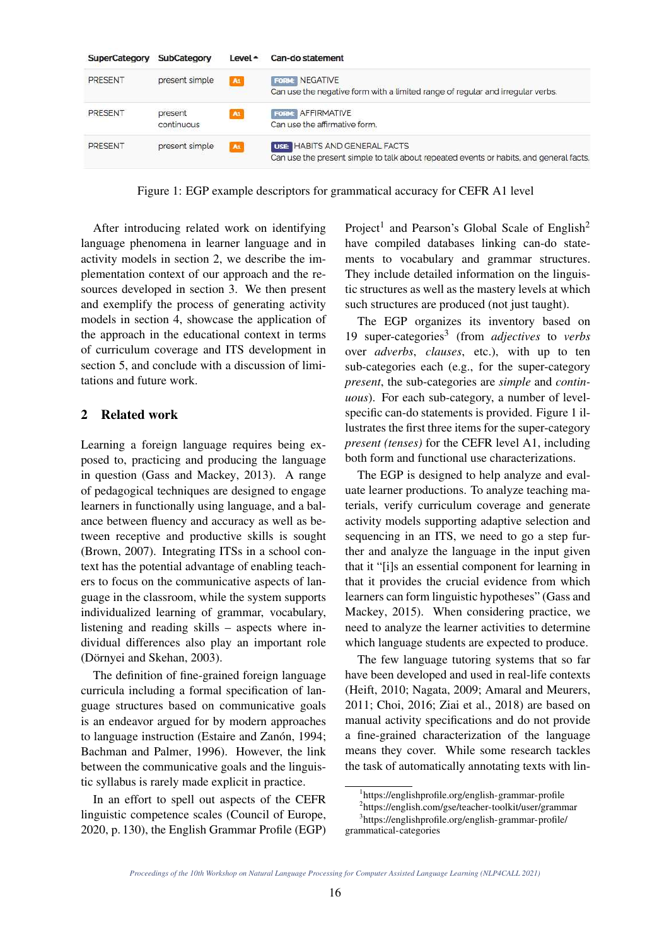| SuperCategory | SubCategory    | $Level -$ | Can-do statement                                                                       |
|---------------|----------------|-----------|----------------------------------------------------------------------------------------|
| PRESENT       | present simple | A1        | <b>FORM: NEGATIVE</b>                                                                  |
|               |                |           | Can use the negative form with a limited range of regular and irregular verbs.         |
| PRESENT       | present        | At        | FORM: AFFIRMATIVE                                                                      |
|               | continuous     |           | Can use the affirmative form.                                                          |
| PRESENT       | present simple | A1        | <b>USE HABITS AND GENERAL FACTS</b>                                                    |
|               |                |           | Can use the present simple to talk about repeated events or habits, and general facts. |

Figure 1: EGP example descriptors for grammatical accuracy for CEFR A1 level

After introducing related work on identifying language phenomena in learner language and in activity models in section 2, we describe the implementation context of our approach and the resources developed in section 3. We then present and exemplify the process of generating activity models in section 4, showcase the application of the approach in the educational context in terms of curriculum coverage and ITS development in section 5, and conclude with a discussion of limitations and future work.

# 2 Related work

Learning a foreign language requires being exposed to, practicing and producing the language in question (Gass and Mackey, 2013). A range of pedagogical techniques are designed to engage learners in functionally using language, and a balance between fluency and accuracy as well as between receptive and productive skills is sought (Brown, 2007). Integrating ITSs in a school context has the potential advantage of enabling teachers to focus on the communicative aspects of language in the classroom, while the system supports individualized learning of grammar, vocabulary, listening and reading skills – aspects where individual differences also play an important role (Dörnyei and Skehan, 2003).

The definition of fine-grained foreign language curricula including a formal specification of language structures based on communicative goals is an endeavor argued for by modern approaches to language instruction (Estaire and Zanón, 1994; Bachman and Palmer, 1996). However, the link between the communicative goals and the linguistic syllabus is rarely made explicit in practice.

In an effort to spell out aspects of the CEFR linguistic competence scales (Council of Europe, 2020, p. 130), the English Grammar Profile (EGP)

Project<sup>1</sup> and Pearson's Global Scale of English<sup>2</sup> have compiled databases linking can-do statements to vocabulary and grammar structures. They include detailed information on the linguistic structures as well as the mastery levels at which such structures are produced (not just taught).

The EGP organizes its inventory based on 19 super-categories<sup>3</sup> (from *adjectives* to *verbs* over *adverbs*, *clauses*, etc.), with up to ten sub-categories each (e.g., for the super-category *present*, the sub-categories are *simple* and *continuous*). For each sub-category, a number of levelspecific can-do statements is provided. Figure 1 illustrates the first three items for the super-category *present (tenses)* for the CEFR level A1, including both form and functional use characterizations.

The EGP is designed to help analyze and evaluate learner productions. To analyze teaching materials, verify curriculum coverage and generate activity models supporting adaptive selection and sequencing in an ITS, we need to go a step further and analyze the language in the input given that it "[i]s an essential component for learning in that it provides the crucial evidence from which learners can form linguistic hypotheses" (Gass and Mackey, 2015). When considering practice, we need to analyze the learner activities to determine which language students are expected to produce.

The few language tutoring systems that so far have been developed and used in real-life contexts (Heift, 2010; Nagata, 2009; Amaral and Meurers, 2011; Choi, 2016; Ziai et al., 2018) are based on manual activity specifications and do not provide a fine-grained characterization of the language means they cover. While some research tackles the task of automatically annotating texts with lin-

<sup>1</sup> https://englishprofile.org/english-grammar-profile 2 https://english.com/gse/teacher-toolkit/user/grammar 3 https://englishprofile.org/english-grammar-profile/ grammatical-categories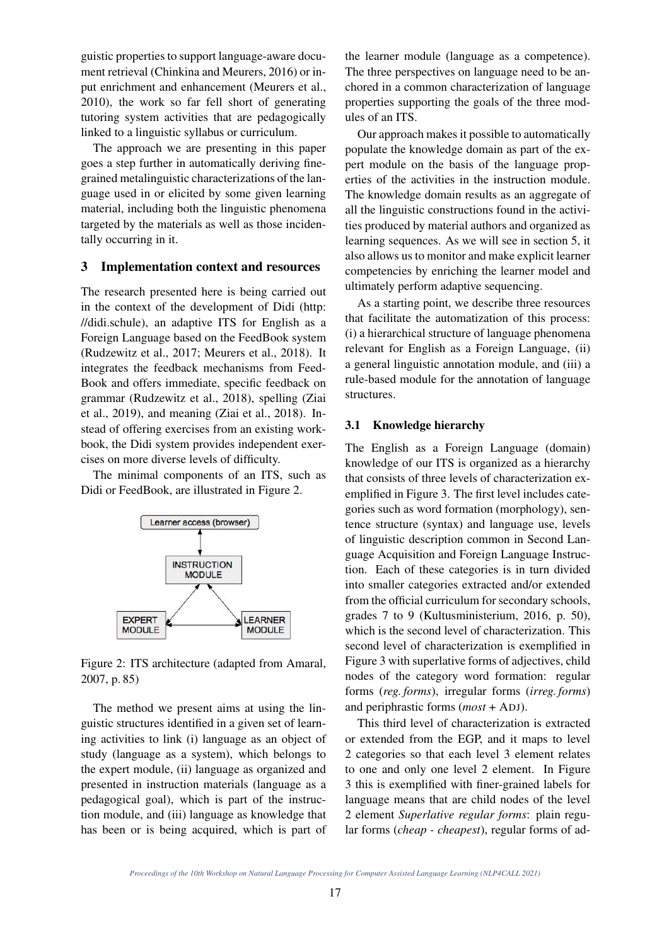guistic properties to support language-aware document retrieval (Chinkina and Meurers, 2016) or input enrichment and enhancement (Meurers et al., 2010), the work so far fell short of generating tutoring system activities that are pedagogically linked to a linguistic syllabus or curriculum.

The approach we are presenting in this paper goes a step further in automatically deriving finegrained metalinguistic characterizations of the language used in or elicited by some given learning material, including both the linguistic phenomena targeted by the materials as well as those incidentally occurring in it.

#### 3 Implementation context and resources

The research presented here is being carried out in the context of the development of Didi (http: //didi.schule), an adaptive ITS for English as a Foreign Language based on the FeedBook system (Rudzewitz et al., 2017; Meurers et al., 2018). It integrates the feedback mechanisms from Feed-Book and offers immediate, specific feedback on grammar (Rudzewitz et al., 2018), spelling (Ziai et al., 2019), and meaning (Ziai et al., 2018). Instead of offering exercises from an existing workbook, the Didi system provides independent exercises on more diverse levels of difficulty.

The minimal components of an ITS, such as Didi or FeedBook, are illustrated in Figure 2.



Figure 2: ITS architecture (adapted from Amaral, 2007, p. 85)

The method we present aims at using the linguistic structures identified in a given set of learning activities to link (i) language as an object of study (language as a system), which belongs to the expert module, (ii) language as organized and presented in instruction materials (language as a pedagogical goal), which is part of the instruction module, and (iii) language as knowledge that has been or is being acquired, which is part of the learner module (language as a competence). The three perspectives on language need to be anchored in a common characterization of language properties supporting the goals of the three modules of an ITS.

Our approach makes it possible to automatically populate the knowledge domain as part of the expert module on the basis of the language properties of the activities in the instruction module. The knowledge domain results as an aggregate of all the linguistic constructions found in the activities produced by material authors and organized as learning sequences. As we will see in section 5, it also allows us to monitor and make explicit learner competencies by enriching the learner model and ultimately perform adaptive sequencing.

As a starting point, we describe three resources that facilitate the automatization of this process: (i) a hierarchical structure of language phenomena relevant for English as a Foreign Language, (ii) a general linguistic annotation module, and (iii) a rule-based module for the annotation of language structures.

#### 3.1 Knowledge hierarchy

The English as a Foreign Language (domain) knowledge of our ITS is organized as a hierarchy that consists of three levels of characterization exemplified in Figure 3. The first level includes categories such as word formation (morphology), sentence structure (syntax) and language use, levels of linguistic description common in Second Language Acquisition and Foreign Language Instruction. Each of these categories is in turn divided into smaller categories extracted and/or extended from the official curriculum for secondary schools, grades 7 to 9 (Kultusministerium, 2016, p. 50), which is the second level of characterization. This second level of characterization is exemplified in Figure 3 with superlative forms of adjectives, child nodes of the category word formation: regular forms (*reg. forms*), irregular forms (*irreg. forms*) and periphrastic forms (*most* + ADJ).

This third level of characterization is extracted or extended from the EGP, and it maps to level 2 categories so that each level 3 element relates to one and only one level 2 element. In Figure 3 this is exemplified with finer-grained labels for language means that are child nodes of the level 2 element *Superlative regular forms*: plain regular forms (*cheap - cheapest*), regular forms of ad-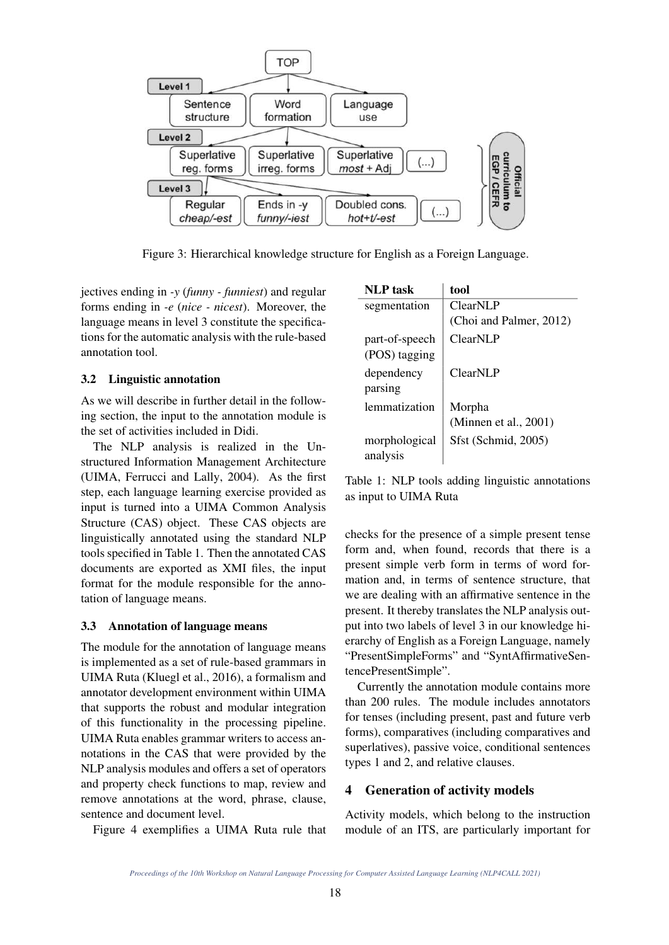

Figure 3: Hierarchical knowledge structure for English as a Foreign Language.

jectives ending in *-y* (*funny - funniest*) and regular forms ending in *-e* (*nice - nicest*). Moreover, the language means in level 3 constitute the specifications for the automatic analysis with the rule-based annotation tool.

#### 3.2 Linguistic annotation

As we will describe in further detail in the following section, the input to the annotation module is the set of activities included in Didi.

The NLP analysis is realized in the Unstructured Information Management Architecture (UIMA, Ferrucci and Lally, 2004). As the first step, each language learning exercise provided as input is turned into a UIMA Common Analysis Structure (CAS) object. These CAS objects are linguistically annotated using the standard NLP tools specified in Table 1. Then the annotated CAS documents are exported as XMI files, the input format for the module responsible for the annotation of language means.

#### 3.3 Annotation of language means

The module for the annotation of language means is implemented as a set of rule-based grammars in UIMA Ruta (Kluegl et al., 2016), a formalism and annotator development environment within UIMA that supports the robust and modular integration of this functionality in the processing pipeline. UIMA Ruta enables grammar writers to access annotations in the CAS that were provided by the NLP analysis modules and offers a set of operators and property check functions to map, review and remove annotations at the word, phrase, clause, sentence and document level.

Figure 4 exemplifies a UIMA Ruta rule that

| <b>NLP</b> task | tool                    |
|-----------------|-------------------------|
| segmentation    | ClearNLP                |
|                 | (Choi and Palmer, 2012) |
| part-of-speech  | ClearNLP                |
| (POS) tagging   |                         |
| dependency      | ClearNLP                |
| parsing         |                         |
| lemmatization   | Morpha                  |
|                 | (Minnen et al., 2001)   |
| morphological   | Sfst (Schmid, 2005)     |
| analysis        |                         |

Table 1: NLP tools adding linguistic annotations as input to UIMA Ruta

checks for the presence of a simple present tense form and, when found, records that there is a present simple verb form in terms of word formation and, in terms of sentence structure, that we are dealing with an affirmative sentence in the present. It thereby translates the NLP analysis output into two labels of level 3 in our knowledge hierarchy of English as a Foreign Language, namely "PresentSimpleForms" and "SyntAffirmativeSentencePresentSimple".

Currently the annotation module contains more than 200 rules. The module includes annotators for tenses (including present, past and future verb forms), comparatives (including comparatives and superlatives), passive voice, conditional sentences types 1 and 2, and relative clauses.

#### 4 Generation of activity models

Activity models, which belong to the instruction module of an ITS, are particularly important for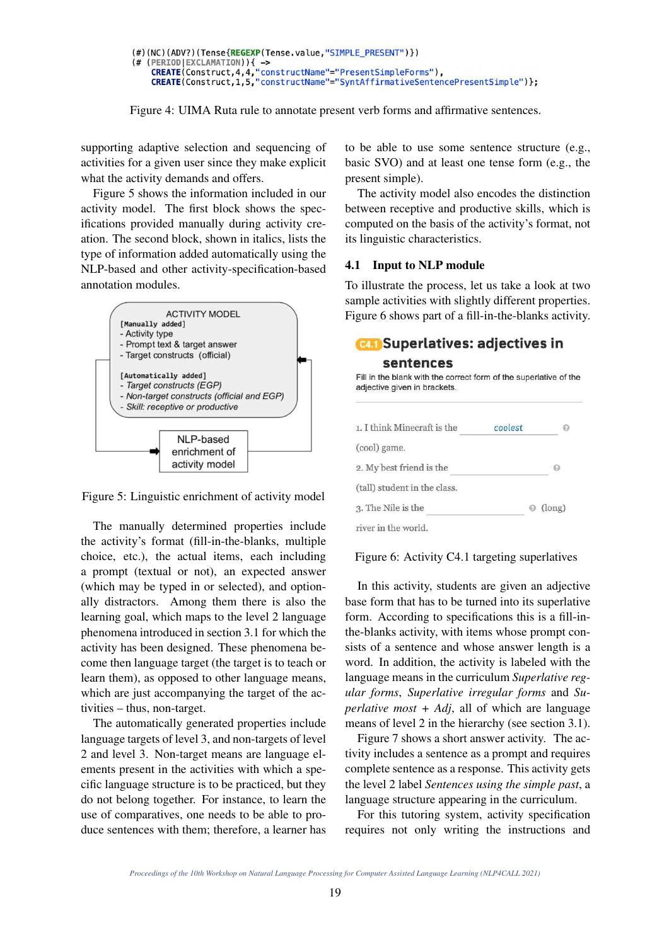```
(#)(NC)(ADV?)(Tense{REGEXP(Tense.value,"SIMPLE_PRESENT")})
(# (PERIOD|EXCLAMATION)){ -><br>
CREATE(Construct,4,4,"constructName"="PresentSimpleForms"),<br>
CREATE(Construct,1,5,"constructName"="SyntAffirmativeSentencePresentSimple")};
```


supporting adaptive selection and sequencing of activities for a given user since they make explicit what the activity demands and offers.

Figure 5 shows the information included in our activity model. The first block shows the specifications provided manually during activity creation. The second block, shown in italics, lists the type of information added automatically using the NLP-based and other activity-specification-based annotation modules.



Figure 5: Linguistic enrichment of activity model

The manually determined properties include the activity's format (fill-in-the-blanks, multiple choice, etc.), the actual items, each including a prompt (textual or not), an expected answer (which may be typed in or selected), and optionally distractors. Among them there is also the learning goal, which maps to the level 2 language phenomena introduced in section 3.1 for which the activity has been designed. These phenomena become then language target (the target is to teach or learn them), as opposed to other language means, which are just accompanying the target of the activities – thus, non-target.

The automatically generated properties include language targets of level 3, and non-targets of level 2 and level 3. Non-target means are language elements present in the activities with which a specific language structure is to be practiced, but they do not belong together. For instance, to learn the use of comparatives, one needs to be able to produce sentences with them; therefore, a learner has to be able to use some sentence structure (e.g., basic SVO) and at least one tense form (e.g., the present simple).

The activity model also encodes the distinction between receptive and productive skills, which is computed on the basis of the activity's format, not its linguistic characteristics.

# 4.1 Input to NLP module

To illustrate the process, let us take a look at two sample activities with slightly different properties. Figure 6 shows part of a fill-in-the-blanks activity.

# **CA** Superlatives: adjectives in sentences



# Figure 6: Activity C4.1 targeting superlatives

In this activity, students are given an adjective base form that has to be turned into its superlative form. According to specifications this is a fill-inthe-blanks activity, with items whose prompt consists of a sentence and whose answer length is a word. In addition, the activity is labeled with the language means in the curriculum *Superlative regular forms*, *Superlative irregular forms* and *Superlative most + Adj*, all of which are language means of level 2 in the hierarchy (see section 3.1).

Figure 7 shows a short answer activity. The activity includes a sentence as a prompt and requires complete sentence as a response. This activity gets the level 2 label *Sentences using the simple past*, a language structure appearing in the curriculum.

For this tutoring system, activity specification requires not only writing the instructions and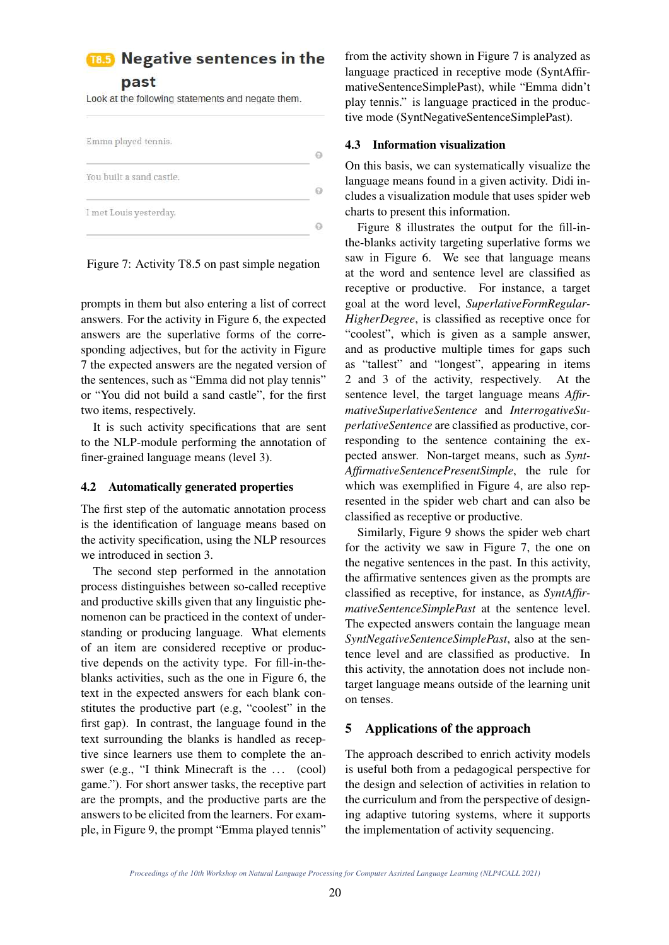# **18.5** Negative sentences in the

past

Look at the following statements and negate them.



prompts in them but also entering a list of correct answers. For the activity in Figure 6, the expected answers are the superlative forms of the corresponding adjectives, but for the activity in Figure 7 the expected answers are the negated version of the sentences, such as "Emma did not play tennis" or "You did not build a sand castle", for the first two items, respectively.

It is such activity specifications that are sent to the NLP-module performing the annotation of finer-grained language means (level 3).

# 4.2 Automatically generated properties

The first step of the automatic annotation process is the identification of language means based on the activity specification, using the NLP resources we introduced in section 3.

The second step performed in the annotation process distinguishes between so-called receptive and productive skills given that any linguistic phenomenon can be practiced in the context of understanding or producing language. What elements of an item are considered receptive or productive depends on the activity type. For fill-in-theblanks activities, such as the one in Figure 6, the text in the expected answers for each blank constitutes the productive part (e.g, "coolest" in the first gap). In contrast, the language found in the text surrounding the blanks is handled as receptive since learners use them to complete the answer (e.g., "I think Minecraft is the ... (cool) game."). For short answer tasks, the receptive part are the prompts, and the productive parts are the answers to be elicited from the learners. For example, in Figure 9, the prompt "Emma played tennis"

from the activity shown in Figure 7 is analyzed as language practiced in receptive mode (SyntAffirmativeSentenceSimplePast), while "Emma didn't play tennis." is language practiced in the productive mode (SyntNegativeSentenceSimplePast).

# 4.3 Information visualization

On this basis, we can systematically visualize the language means found in a given activity. Didi includes a visualization module that uses spider web charts to present this information.

Figure 8 illustrates the output for the fill-inthe-blanks activity targeting superlative forms we saw in Figure 6. We see that language means at the word and sentence level are classified as receptive or productive. For instance, a target goal at the word level, *SuperlativeFormRegular-HigherDegree*, is classified as receptive once for "coolest", which is given as a sample answer, and as productive multiple times for gaps such as "tallest" and "longest", appearing in items 2 and 3 of the activity, respectively. At the sentence level, the target language means *AffirmativeSuperlativeSentence* and *InterrogativeSuperlativeSentence* are classified as productive, corresponding to the sentence containing the expected answer. Non-target means, such as *Synt-AffirmativeSentencePresentSimple*, the rule for which was exemplified in Figure 4, are also represented in the spider web chart and can also be classified as receptive or productive.

Similarly, Figure 9 shows the spider web chart for the activity we saw in Figure 7, the one on the negative sentences in the past. In this activity, the affirmative sentences given as the prompts are classified as receptive, for instance, as *SyntAffirmativeSentenceSimplePast* at the sentence level. The expected answers contain the language mean *SyntNegativeSentenceSimplePast*, also at the sentence level and are classified as productive. In this activity, the annotation does not include nontarget language means outside of the learning unit on tenses.

# 5 Applications of the approach

The approach described to enrich activity models is useful both from a pedagogical perspective for the design and selection of activities in relation to the curriculum and from the perspective of designing adaptive tutoring systems, where it supports the implementation of activity sequencing.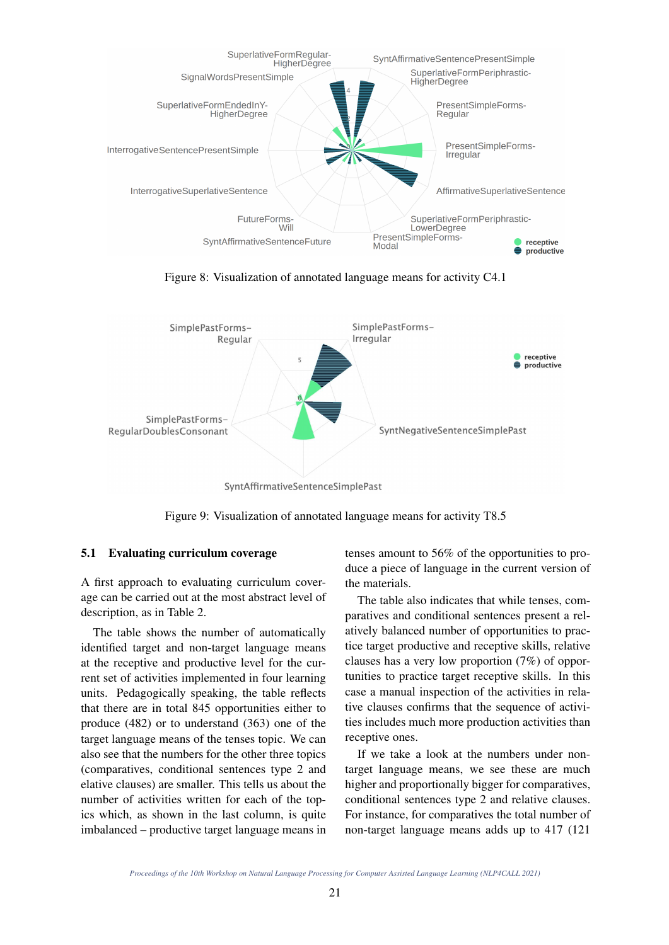

Figure 8: Visualization of annotated language means for activity C4.1



SyntAffirmativeSentenceSimplePast

Figure 9: Visualization of annotated language means for activity T8.5

#### 5.1 Evaluating curriculum coverage

A first approach to evaluating curriculum coverage can be carried out at the most abstract level of description, as in Table 2.

The table shows the number of automatically identified target and non-target language means at the receptive and productive level for the current set of activities implemented in four learning units. Pedagogically speaking, the table reflects that there are in total 845 opportunities either to produce (482) or to understand (363) one of the target language means of the tenses topic. We can also see that the numbers for the other three topics (comparatives, conditional sentences type 2 and elative clauses) are smaller. This tells us about the number of activities written for each of the topics which, as shown in the last column, is quite imbalanced – productive target language means in tenses amount to 56% of the opportunities to produce a piece of language in the current version of the materials.

The table also indicates that while tenses, comparatives and conditional sentences present a relatively balanced number of opportunities to practice target productive and receptive skills, relative clauses has a very low proportion (7%) of opportunities to practice target receptive skills. In this case a manual inspection of the activities in relative clauses confirms that the sequence of activities includes much more production activities than receptive ones.

If we take a look at the numbers under nontarget language means, we see these are much higher and proportionally bigger for comparatives, conditional sentences type 2 and relative clauses. For instance, for comparatives the total number of non-target language means adds up to 417 (121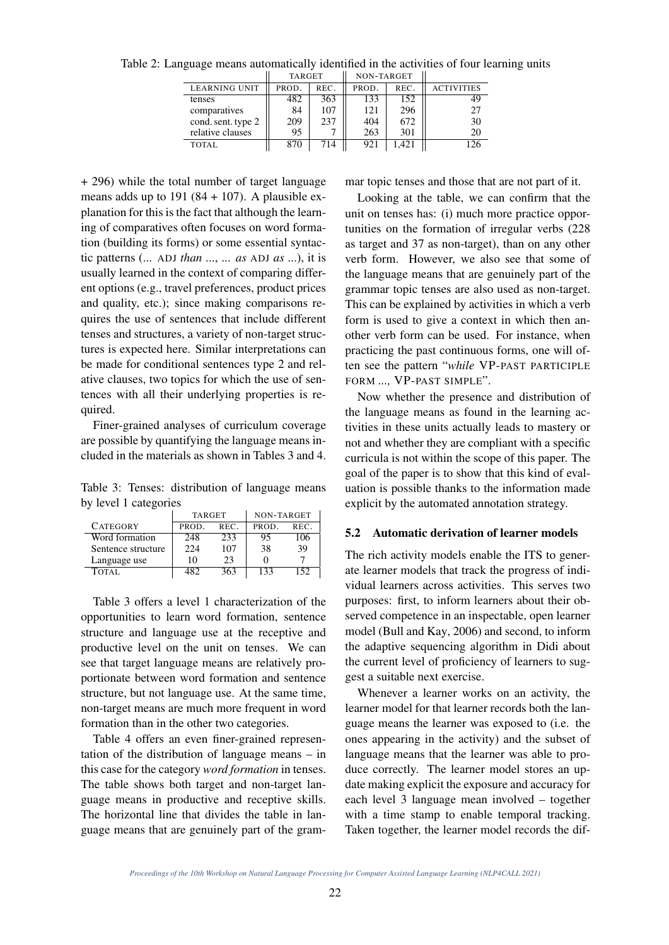|                      | TARGET |      | NON-TARGET |       |                   |
|----------------------|--------|------|------------|-------|-------------------|
| <b>LEARNING UNIT</b> | PROD.  | REC. | PROD.      | REC.  | <b>ACTIVITIES</b> |
| tenses               | 482    | 363  | 133        | 152   | 49                |
| comparatives         | 84     | 107  | 121        | 296   | 27                |
| cond. sent. type 2   | 209    | 237  | 404        | 672   | 30                |
| relative clauses     | 95     |      | 263        | 301   | 20                |
| TOTAL                | 870    | 714  | 921        | 1.421 |                   |

Table 2: Language means automatically identified in the activities of four learning units

+ 296) while the total number of target language means adds up to  $191 (84 + 107)$ . A plausible explanation for this is the fact that although the learning of comparatives often focuses on word formation (building its forms) or some essential syntactic patterns (... ADJ *than* ..., ... *as* ADJ *as* ...), it is usually learned in the context of comparing different options (e.g., travel preferences, product prices and quality, etc.); since making comparisons requires the use of sentences that include different tenses and structures, a variety of non-target structures is expected here. Similar interpretations can be made for conditional sentences type 2 and relative clauses, two topics for which the use of sentences with all their underlying properties is required.

Finer-grained analyses of curriculum coverage are possible by quantifying the language means included in the materials as shown in Tables 3 and 4.

Table 3: Tenses: distribution of language means by level 1 categories

|                    | <b>TARGET</b> |      | NON-TARGET |      |  |
|--------------------|---------------|------|------------|------|--|
| <b>CATEGORY</b>    | PROD.         | REC. | PROD.      | REC. |  |
| Word formation     | 248           | 233  | 95         | 106  |  |
| Sentence structure | 224           | 107  | 38         | 39   |  |
| Language use       | 10            | 23   |            |      |  |
| TOTAL.             | 187           | 363  | 133        | 152  |  |

Table 3 offers a level 1 characterization of the opportunities to learn word formation, sentence structure and language use at the receptive and productive level on the unit on tenses. We can see that target language means are relatively proportionate between word formation and sentence structure, but not language use. At the same time, non-target means are much more frequent in word formation than in the other two categories.

Table 4 offers an even finer-grained representation of the distribution of language means – in this case for the category *word formation* in tenses. The table shows both target and non-target language means in productive and receptive skills. The horizontal line that divides the table in language means that are genuinely part of the grammar topic tenses and those that are not part of it.

Looking at the table, we can confirm that the unit on tenses has: (i) much more practice opportunities on the formation of irregular verbs (228 as target and 37 as non-target), than on any other verb form. However, we also see that some of the language means that are genuinely part of the grammar topic tenses are also used as non-target. This can be explained by activities in which a verb form is used to give a context in which then another verb form can be used. For instance, when practicing the past continuous forms, one will often see the pattern "*while* VP-PAST PARTICIPLE FORM *...,* VP-PAST SIMPLE".

Now whether the presence and distribution of the language means as found in the learning activities in these units actually leads to mastery or not and whether they are compliant with a specific curricula is not within the scope of this paper. The goal of the paper is to show that this kind of evaluation is possible thanks to the information made explicit by the automated annotation strategy.

#### 5.2 Automatic derivation of learner models

The rich activity models enable the ITS to generate learner models that track the progress of individual learners across activities. This serves two purposes: first, to inform learners about their observed competence in an inspectable, open learner model (Bull and Kay, 2006) and second, to inform the adaptive sequencing algorithm in Didi about the current level of proficiency of learners to suggest a suitable next exercise.

Whenever a learner works on an activity, the learner model for that learner records both the language means the learner was exposed to (i.e. the ones appearing in the activity) and the subset of language means that the learner was able to produce correctly. The learner model stores an update making explicit the exposure and accuracy for each level 3 language mean involved – together with a time stamp to enable temporal tracking. Taken together, the learner model records the dif-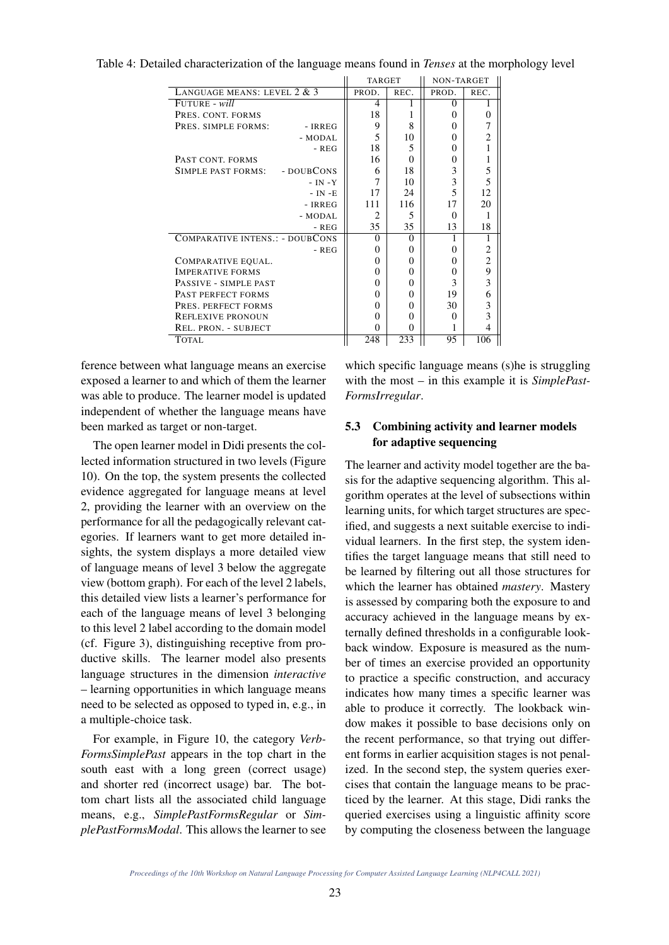|                                 | <b>TARGET</b> |          | NON-TARGET |                |
|---------------------------------|---------------|----------|------------|----------------|
| LANGUAGE MEANS: LEVEL 2 & 3     | PROD.         | REC.     | PROD.      | REC.           |
| FUTURE - will                   | 4             |          | 0          |                |
| PRES. CONT. FORMS               | 18            | 1        | $\Omega$   | $\overline{0}$ |
| PRES. SIMPLE FORMS:<br>- IRREG  | 9             | 8        | 0          | 7              |
| - MODAL                         | 5             | 10       | $\Omega$   | $\overline{2}$ |
| $-$ REG                         | 18            | 5        | $\Omega$   | 1              |
| PAST CONT. FORMS                | 16            | 0        | 0          | $\mathbf{1}$   |
| SIMPLE PAST FORMS: - DOUBCONS   | 6             | 18       | 3          | 5              |
| $- IN - Y$                      | 7             | 10       | 3          | 5              |
| $- IN - E$                      | 17            | 24       | 5          | 12             |
| - IRREG                         | 111           | 116      | 17         | 20             |
| - MODAL                         | 2             | 5        | $\Omega$   | 1              |
| - REG                           | 35            | 35       | 13         | 18             |
| COMPARATIVE INTENS.: - DOUBCONS | $\Omega$      | $\Omega$ | 1          | 1              |
| $-$ REG                         | $\Omega$      | $\theta$ | $\Omega$   | $\overline{2}$ |
| COMPARATIVE EQUAL.              | $\Omega$      | $\theta$ | $\Omega$   | $\overline{c}$ |
| <b>IMPERATIVE FORMS</b>         | $\Omega$      | $\theta$ | $\Omega$   | 9              |
| PASSIVE - SIMPLE PAST           | $\Omega$      | $\theta$ | 3          | 3              |
| PAST PERFECT FORMS              | $\Omega$      | $\Omega$ | 19         | 6              |
| PRES. PERFECT FORMS             | $\Omega$      | $\Omega$ | 30         | 3              |
| <b>REFLEXIVE PRONOUN</b>        | $\Omega$      | 0        | $\Omega$   | 3              |
| REL. PRON. - SUBJECT            | $\Omega$      | $\Omega$ |            | 4              |
| <b>TOTAL</b>                    | 248           | 233      | 95         | 106            |

Table 4: Detailed characterization of the language means found in *Tenses* at the morphology level

ference between what language means an exercise exposed a learner to and which of them the learner was able to produce. The learner model is updated independent of whether the language means have been marked as target or non-target.

The open learner model in Didi presents the collected information structured in two levels (Figure 10). On the top, the system presents the collected evidence aggregated for language means at level 2, providing the learner with an overview on the performance for all the pedagogically relevant categories. If learners want to get more detailed insights, the system displays a more detailed view of language means of level 3 below the aggregate view (bottom graph). For each of the level 2 labels, this detailed view lists a learner's performance for each of the language means of level 3 belonging to this level 2 label according to the domain model (cf. Figure 3), distinguishing receptive from productive skills. The learner model also presents language structures in the dimension *interactive* – learning opportunities in which language means need to be selected as opposed to typed in, e.g., in a multiple-choice task.

For example, in Figure 10, the category *Verb-FormsSimplePast* appears in the top chart in the south east with a long green (correct usage) and shorter red (incorrect usage) bar. The bottom chart lists all the associated child language means, e.g., *SimplePastFormsRegular* or *SimplePastFormsModal*. This allows the learner to see which specific language means (s)he is struggling with the most – in this example it is *SimplePast-FormsIrregular*.

# 5.3 Combining activity and learner models for adaptive sequencing

The learner and activity model together are the basis for the adaptive sequencing algorithm. This algorithm operates at the level of subsections within learning units, for which target structures are specified, and suggests a next suitable exercise to individual learners. In the first step, the system identifies the target language means that still need to be learned by filtering out all those structures for which the learner has obtained *mastery*. Mastery is assessed by comparing both the exposure to and accuracy achieved in the language means by externally defined thresholds in a configurable lookback window. Exposure is measured as the number of times an exercise provided an opportunity to practice a specific construction, and accuracy indicates how many times a specific learner was able to produce it correctly. The lookback window makes it possible to base decisions only on the recent performance, so that trying out different forms in earlier acquisition stages is not penalized. In the second step, the system queries exercises that contain the language means to be practiced by the learner. At this stage, Didi ranks the queried exercises using a linguistic affinity score by computing the closeness between the language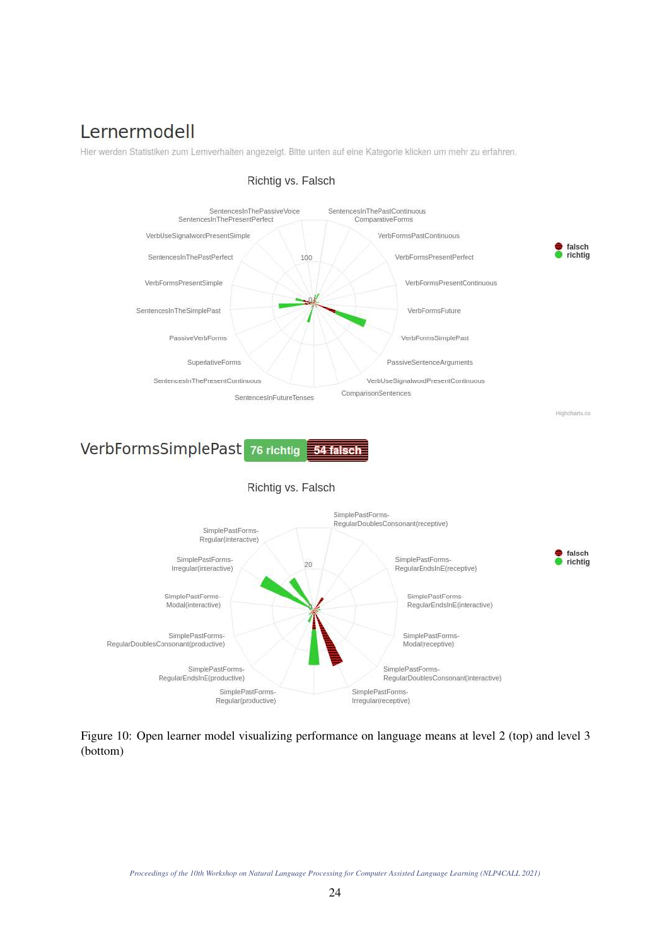# Lernermodell

Hier werden Statistiken zum Lernverhalten angezeigt. Bitte unten auf eine Kategorie klicken um mehr zu erfahren.



# Richtig vs. Falsch

VerbFormsSimplePast 76 richtig 54 falsch





Figure 10: Open learner model visualizing performance on language means at level 2 (top) and level 3 (bottom)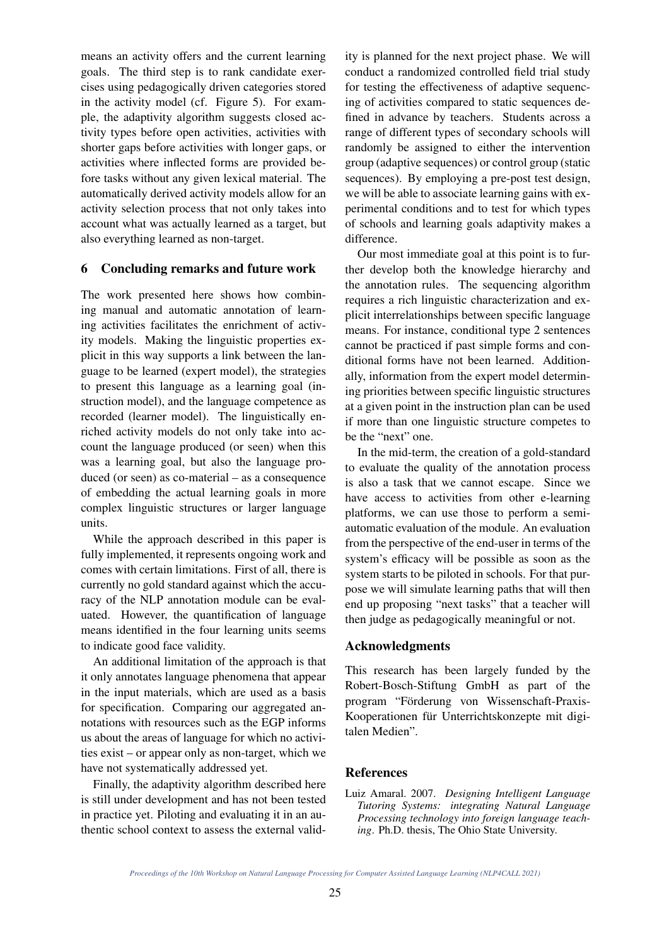means an activity offers and the current learning goals. The third step is to rank candidate exercises using pedagogically driven categories stored in the activity model (cf. Figure 5). For example, the adaptivity algorithm suggests closed activity types before open activities, activities with shorter gaps before activities with longer gaps, or activities where inflected forms are provided before tasks without any given lexical material. The automatically derived activity models allow for an activity selection process that not only takes into account what was actually learned as a target, but also everything learned as non-target.

# 6 Concluding remarks and future work

The work presented here shows how combining manual and automatic annotation of learning activities facilitates the enrichment of activity models. Making the linguistic properties explicit in this way supports a link between the language to be learned (expert model), the strategies to present this language as a learning goal (instruction model), and the language competence as recorded (learner model). The linguistically enriched activity models do not only take into account the language produced (or seen) when this was a learning goal, but also the language produced (or seen) as co-material – as a consequence of embedding the actual learning goals in more complex linguistic structures or larger language units.

While the approach described in this paper is fully implemented, it represents ongoing work and comes with certain limitations. First of all, there is currently no gold standard against which the accuracy of the NLP annotation module can be evaluated. However, the quantification of language means identified in the four learning units seems to indicate good face validity.

An additional limitation of the approach is that it only annotates language phenomena that appear in the input materials, which are used as a basis for specification. Comparing our aggregated annotations with resources such as the EGP informs us about the areas of language for which no activities exist – or appear only as non-target, which we have not systematically addressed yet.

Finally, the adaptivity algorithm described here is still under development and has not been tested in practice yet. Piloting and evaluating it in an authentic school context to assess the external validity is planned for the next project phase. We will conduct a randomized controlled field trial study for testing the effectiveness of adaptive sequencing of activities compared to static sequences defined in advance by teachers. Students across a range of different types of secondary schools will randomly be assigned to either the intervention group (adaptive sequences) or control group (static sequences). By employing a pre-post test design, we will be able to associate learning gains with experimental conditions and to test for which types of schools and learning goals adaptivity makes a difference.

Our most immediate goal at this point is to further develop both the knowledge hierarchy and the annotation rules. The sequencing algorithm requires a rich linguistic characterization and explicit interrelationships between specific language means. For instance, conditional type 2 sentences cannot be practiced if past simple forms and conditional forms have not been learned. Additionally, information from the expert model determining priorities between specific linguistic structures at a given point in the instruction plan can be used if more than one linguistic structure competes to be the "next" one.

In the mid-term, the creation of a gold-standard to evaluate the quality of the annotation process is also a task that we cannot escape. Since we have access to activities from other e-learning platforms, we can use those to perform a semiautomatic evaluation of the module. An evaluation from the perspective of the end-user in terms of the system's efficacy will be possible as soon as the system starts to be piloted in schools. For that purpose we will simulate learning paths that will then end up proposing "next tasks" that a teacher will then judge as pedagogically meaningful or not.

#### Acknowledgments

This research has been largely funded by the Robert-Bosch-Stiftung GmbH as part of the program "Förderung von Wissenschaft-Praxis-Kooperationen für Unterrichtskonzepte mit digitalen Medien".

#### References

Luiz Amaral. 2007. *Designing Intelligent Language Tutoring Systems: integrating Natural Language Processing technology into foreign language teaching*. Ph.D. thesis, The Ohio State University.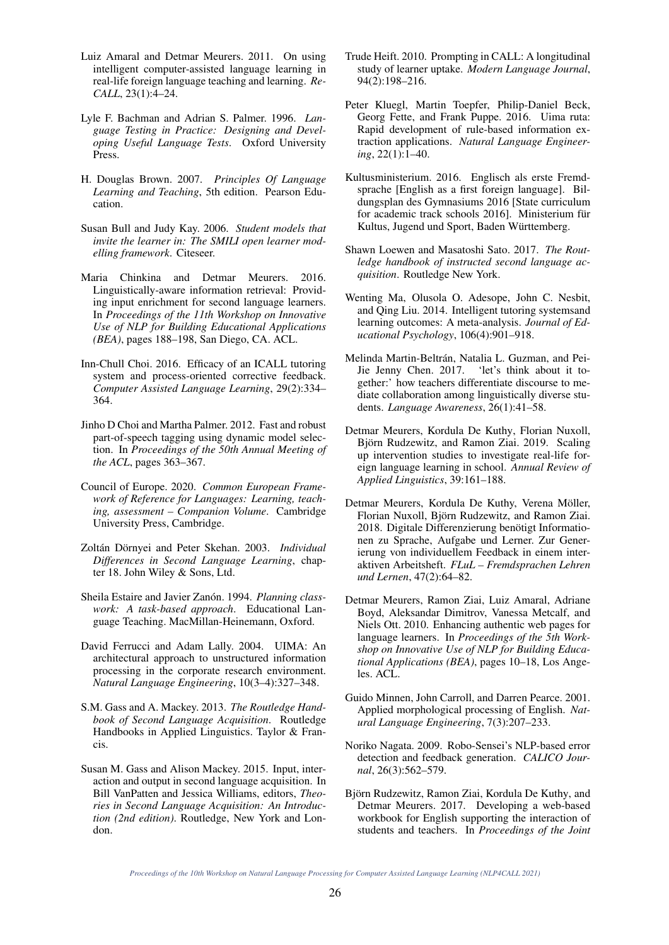- Luiz Amaral and Detmar Meurers. 2011. On using intelligent computer-assisted language learning in real-life foreign language teaching and learning. *Re-CALL*, 23(1):4–24.
- Lyle F. Bachman and Adrian S. Palmer. 1996. *Language Testing in Practice: Designing and Developing Useful Language Tests*. Oxford University Press.
- H. Douglas Brown. 2007. *Principles Of Language Learning and Teaching*, 5th edition. Pearson Education.
- Susan Bull and Judy Kay. 2006. *Student models that invite the learner in: The SMILI open learner modelling framework*. Citeseer.
- Maria Chinkina and Detmar Meurers. 2016. Linguistically-aware information retrieval: Providing input enrichment for second language learners. In *Proceedings of the 11th Workshop on Innovative Use of NLP for Building Educational Applications (BEA)*, pages 188–198, San Diego, CA. ACL.
- Inn-Chull Choi. 2016. Efficacy of an ICALL tutoring system and process-oriented corrective feedback. *Computer Assisted Language Learning*, 29(2):334– 364.
- Jinho D Choi and Martha Palmer. 2012. Fast and robust part-of-speech tagging using dynamic model selection. In *Proceedings of the 50th Annual Meeting of the ACL*, pages 363–367.
- Council of Europe. 2020. *Common European Framework of Reference for Languages: Learning, teaching, assessment – Companion Volume*. Cambridge University Press, Cambridge.
- Zoltán Dörnyei and Peter Skehan. 2003. *Individual Differences in Second Language Learning*, chapter 18. John Wiley & Sons, Ltd.
- Sheila Estaire and Javier Zanón. 1994. *Planning classwork: A task-based approach*. Educational Language Teaching. MacMillan-Heinemann, Oxford.
- David Ferrucci and Adam Lally. 2004. UIMA: An architectural approach to unstructured information processing in the corporate research environment. *Natural Language Engineering*, 10(3–4):327–348.
- S.M. Gass and A. Mackey. 2013. *The Routledge Handbook of Second Language Acquisition*. Routledge Handbooks in Applied Linguistics. Taylor & Francis.
- Susan M. Gass and Alison Mackey. 2015. Input, interaction and output in second language acquisition. In Bill VanPatten and Jessica Williams, editors, *Theories in Second Language Acquisition: An Introduction (2nd edition)*. Routledge, New York and London.
- Trude Heift. 2010. Prompting in CALL: A longitudinal study of learner uptake. *Modern Language Journal*, 94(2):198–216.
- Peter Kluegl, Martin Toepfer, Philip-Daniel Beck, Georg Fette, and Frank Puppe. 2016. Uima ruta: Rapid development of rule-based information extraction applications. *Natural Language Engineering*, 22(1):1–40.
- Kultusministerium. 2016. Englisch als erste Fremdsprache [English as a first foreign language]. Bildungsplan des Gymnasiums 2016 [State curriculum for academic track schools 2016]. Ministerium für Kultus, Jugend und Sport, Baden Württemberg.
- Shawn Loewen and Masatoshi Sato. 2017. *The Routledge handbook of instructed second language acquisition*. Routledge New York.
- Wenting Ma, Olusola O. Adesope, John C. Nesbit, and Qing Liu. 2014. Intelligent tutoring systemsand learning outcomes: A meta-analysis. *Journal of Educational Psychology*, 106(4):901–918.
- Melinda Martin-Beltrán, Natalia L. Guzman, and Pei-Jie Jenny Chen. 2017. 'let's think about it together:' how teachers differentiate discourse to mediate collaboration among linguistically diverse students. *Language Awareness*, 26(1):41–58.
- Detmar Meurers, Kordula De Kuthy, Florian Nuxoll, Björn Rudzewitz, and Ramon Ziai. 2019. Scaling up intervention studies to investigate real-life foreign language learning in school. *Annual Review of Applied Linguistics*, 39:161–188.
- Detmar Meurers, Kordula De Kuthy, Verena Möller, Florian Nuxoll, Björn Rudzewitz, and Ramon Ziai. 2018. Digitale Differenzierung benötigt Informationen zu Sprache, Aufgabe und Lerner. Zur Generierung von individuellem Feedback in einem interaktiven Arbeitsheft. *FLuL – Fremdsprachen Lehren und Lernen*, 47(2):64–82.
- Detmar Meurers, Ramon Ziai, Luiz Amaral, Adriane Boyd, Aleksandar Dimitrov, Vanessa Metcalf, and Niels Ott. 2010. Enhancing authentic web pages for language learners. In *Proceedings of the 5th Workshop on Innovative Use of NLP for Building Educational Applications (BEA)*, pages 10–18, Los Angeles. ACL.
- Guido Minnen, John Carroll, and Darren Pearce. 2001. Applied morphological processing of English. *Natural Language Engineering*, 7(3):207–233.
- Noriko Nagata. 2009. Robo-Sensei's NLP-based error detection and feedback generation. *CALICO Journal*, 26(3):562–579.
- Björn Rudzewitz, Ramon Ziai, Kordula De Kuthy, and Detmar Meurers. 2017. Developing a web-based workbook for English supporting the interaction of students and teachers. In *Proceedings of the Joint*

*Proceedings of the 10th Workshop on Natural Language Processing for Computer Assisted Language Learning (NLP4CALL 2021)*